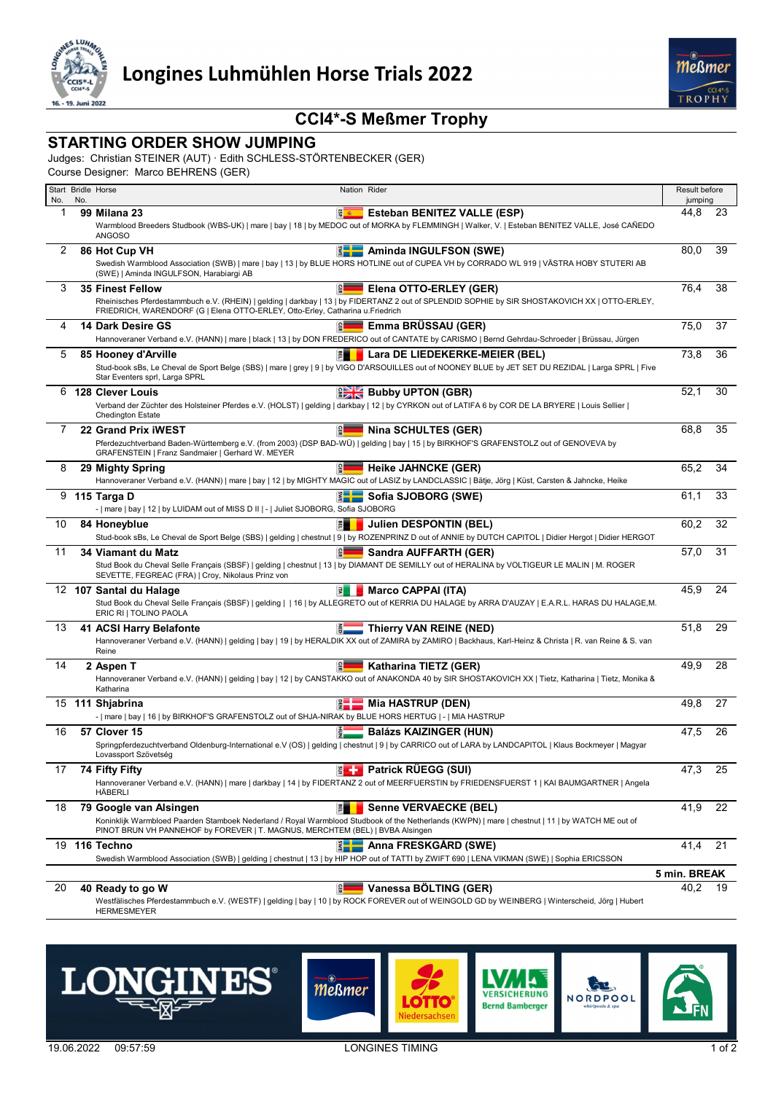



## **CCI4\*-S Meßmer Trophy**

## **STARTING ORDER SHOW JUMPING**

Judges: Christian STEINER (AUT) · Edith SCHLESS-STÖRTENBECKER (GER)

Course Designer: Marco BEHRENS (GER)

| No. | No. | Start Bridle Horse<br>Nation Rider                                                                                                                                                                                                                                                               | Result before<br>jumping |    |  |  |
|-----|-----|--------------------------------------------------------------------------------------------------------------------------------------------------------------------------------------------------------------------------------------------------------------------------------------------------|--------------------------|----|--|--|
| 1   |     | <b>S</b><br><b>Esteban BENITEZ VALLE (ESP)</b><br>99 Milana 23                                                                                                                                                                                                                                   | 44,8                     | 23 |  |  |
|     |     | Warmblood Breeders Studbook (WBS-UK)   mare   bay   18   by MEDOC out of MORKA by FLEMMINGH   Walker, V.   Esteban BENITEZ VALLE, José CAÑEDO<br><b>ANGOSO</b>                                                                                                                                   |                          |    |  |  |
| 2   |     | Aminda INGULFSON (SWE)<br>$rac{2}{2}$<br>86 Hot Cup VH<br>Swedish Warmblood Association (SWB)   mare   bay   13   by BLUE HORS HOTLINE out of CUPEA VH by CORRADO WL 919   VÄSTRA HOBY STUTERI AB<br>(SWE)   Aminda INGULFSON, Harabiargi AB                                                     | 80,0                     | 39 |  |  |
| 3   |     | Elena OTTO-ERLEY (GER)<br><b>35 Finest Fellow</b><br>Rheinisches Pferdestammbuch e.V. (RHEIN)   gelding   darkbay   13   by FIDERTANZ 2 out of SPLENDID SOPHIE by SIR SHOSTAKOVICH XX   OTTO-ERLEY,<br>FRIEDRICH, WARENDORF (G   Elena OTTO-ERLEY, Otto-Erley, Catharina u.Friedrich             | 76,4                     | 38 |  |  |
| 4   |     | Emma BRÜSSAU (GER)<br>14 Dark Desire GS<br><b>GER</b><br>Hannoveraner Verband e.V. (HANN)   mare   black   13   by DON FREDERICO out of CANTATE by CARISMO   Bernd Gehrdau-Schroeder   Brüssau, Jürgen                                                                                           | 75,0                     | 37 |  |  |
| 5   |     | 門<br>Lara DE LIEDEKERKE-MEIER (BEL)<br>85 Hooney d'Arville<br>Stud-book sBs, Le Cheval de Sport Belge (SBS)   mare   grey   9   by VIGO D'ARSOUILLES out of NOONEY BLUE by JET SET DU REZIDAL   Larga SPRL   Five<br>Star Eventers sprl, Larga SPRL                                              | 73,8                     | 36 |  |  |
| 6   |     | <b>Bubby UPTON (GBR)</b><br><b>128 Clever Louis</b>                                                                                                                                                                                                                                              | 52,1                     | 30 |  |  |
|     |     | Verband der Züchter des Holsteiner Pferdes e.V. (HOLST)   gelding   darkbay   12   by CYRKON out of LATIFA 6 by COR DE LA BRYERE   Louis Sellier  <br><b>Chedington Estate</b>                                                                                                                   |                          |    |  |  |
| 7   |     | <b>Nina SCHULTES (GER)</b><br>22 Grand Prix iWEST<br>$\frac{1}{2}$                                                                                                                                                                                                                               | 68,8                     | 35 |  |  |
|     |     | Pferdezuchtverband Baden-Württemberg e.V. (from 2003) (DSP BAD-WÜ)   gelding   bay   15   by BIRKHOF'S GRAFENSTOLZ out of GENOVEVA by<br>GRAFENSTEIN   Franz Sandmaier   Gerhard W. MEYER                                                                                                        |                          |    |  |  |
| 8   |     | le l<br><b>Heike JAHNCKE (GER)</b><br>29 Mighty Spring<br>Hannoveraner Verband e.V. (HANN)   mare   bay   12   by MIGHTY MAGIC out of LASIZ by LANDCLASSIC   Bätje, Jörg   Küst, Carsten & Jahncke, Heike                                                                                        | 65,2                     | 34 |  |  |
|     |     | 9 115 Targa D<br>Sofia SJOBORG (SWE)<br>-   mare   bay   12   by LUIDAM out of MISS D II   -   Juliet SJOBORG, Sofia SJOBORG                                                                                                                                                                     | 61,1                     | 33 |  |  |
| 10  |     | <b>Julien DESPONTIN (BEL)</b><br>84 Honeyblue<br>剛<br>Stud-book sBs, Le Cheval de Sport Belge (SBS)   gelding   chestnut   9   by ROZENPRINZ D out of ANNIE by DUTCH CAPITOL   Didier Hergot   Didier HERGOT                                                                                     | 60,2                     | 32 |  |  |
| 11  |     | e.<br>Sandra AUFFARTH (GER)<br>34 Viamant du Matz<br>Stud Book du Cheval Selle Français (SBSF)   gelding   chestnut   13   by DIAMANT DE SEMILLY out of HERALINA by VOLTIGEUR LE MALIN   M. ROGER<br>SEVETTE, FEGREAC (FRA)   Croy, Nikolaus Prinz von                                           | 57,0                     | 31 |  |  |
|     |     | Marco CAPPAI (ITA)<br>12 107 Santal du Halage<br>国<br>Stud Book du Cheval Selle Français (SBSF)   gelding     16   by ALLEGRETO out of KERRIA DU HALAGE by ARRA D'AUZAY   E.A.R.L. HARAS DU HALAGE, M.<br>ERIC RI   TOLINO PAOLA                                                                 | 45,9                     | 24 |  |  |
| 13  |     | Thierry VAN REINE (NED)<br>41 ACSI Harry Belafonte<br>Hannoveraner Verband e.V. (HANN)   gelding   bay   19   by HERALDIK XX out of ZAMIRA by ZAMIRO   Backhaus, Karl-Heinz & Christa   R. van Reine & S. van<br>Reine                                                                           | 51,8                     | 29 |  |  |
| 14  |     | Katharina TIETZ (GER)<br>2 Aspen T<br>Hannoveraner Verband e.V. (HANN)   gelding   bay   12   by CANSTAKKO out of ANAKONDA 40 by SIR SHOSTAKOVICH XX   Tietz, Katharina   Tietz, Monika &<br>Katharina                                                                                           | 49,9                     | 28 |  |  |
|     |     | 15 111 Shjabrina<br>Mia HASTRUP (DEN)<br>E-i<br>-   mare   bay   16   by BIRKHOF'S GRAFENSTOLZ out of SHJA-NIRAK by BLUE HORS HERTUG   -   MIA HASTRUP                                                                                                                                           | 49,8                     | 27 |  |  |
| 16  |     | 57 Clover 15<br><b>Balázs KAIZINGER (HUN)</b><br>Springpferdezuchtverband Oldenburg-International e.V (OS)   gelding   chestnut   9   by CARRICO out of LARA by LANDCAPITOL   Klaus Bockmeyer   Magyar<br>Lovassport Szövetség                                                                   | 47,5                     | 26 |  |  |
| 17  |     | <b>ELF</b> Patrick RÜEGG (SUI)<br>74 Fifty Fifty<br>Hannoveraner Verband e.V. (HANN)   mare   darkbay   14   by FIDERTANZ 2 out of MEERFUERSTIN by FRIEDENSFUERST 1   KAI BAUMGARTNER   Angela<br>HÄBERLI                                                                                        | 47,3                     | 25 |  |  |
| 18  |     | 79 Google van Alsingen<br><b>Senne VERVAECKE (BEL)</b><br>間<br>Koninklijk Warmbloed Paarden Stamboek Nederland / Royal Warmblood Studbook of the Netherlands (KWPN)   mare   chestnut   11   by WATCH ME out of<br>PINOT BRUN VH PANNEHOF by FOREVER   T. MAGNUS, MERCHTEM (BEL)   BVBA Alsingen | 41,9                     | 22 |  |  |
|     |     | Anna FRESKGÅRD (SWE)<br>19 116 Techno<br>Swedish Warmblood Association (SWB)   gelding   chestnut   13   by HIP HOP out of TATTI by ZWIFT 690   LENA VIKMAN (SWE)   Sophia ERICSSON                                                                                                              | 41,4                     | 21 |  |  |
|     |     |                                                                                                                                                                                                                                                                                                  | 5 min. BREAK             |    |  |  |
| 20  |     | Vanessa BÖLTING (GER)<br><b>GER</b><br>40 Ready to go W                                                                                                                                                                                                                                          | 40,2                     | 19 |  |  |
|     |     | Westfälisches Pferdestammbuch e.V. (WESTF)   gelding   bay   10   by ROCK FOREVER out of WEINGOLD GD by WEINBERG   Winterscheid, Jörg   Hubert<br><b>HERMESMEYER</b>                                                                                                                             |                          |    |  |  |